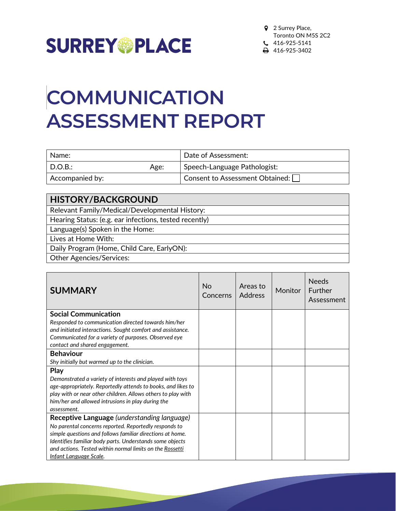

## **COMMUNICATION ASSESSMENT REPORT**

| Name:           |      | Date of Assessment:             |
|-----------------|------|---------------------------------|
| $\mid$ D.O.B.:  | Age: | Speech-Language Pathologist:    |
| Accompanied by: |      | Consent to Assessment Obtained: |

| <b>HISTORY/BACKGROUND</b>                              |
|--------------------------------------------------------|
| Relevant Family/Medical/Developmental History:         |
| Hearing Status: (e.g. ear infections, tested recently) |
| Language(s) Spoken in the Home:                        |
| Lives at Home With:                                    |
| Daily Program (Home, Child Care, EarlyON):             |
| <b>Other Agencies/Services:</b>                        |

| <b>SUMMARY</b>                                               | No.<br>Concerns | Areas to<br>Address | Monitor | <b>Needs</b><br><b>Further</b><br>Assessment |
|--------------------------------------------------------------|-----------------|---------------------|---------|----------------------------------------------|
| <b>Social Communication</b>                                  |                 |                     |         |                                              |
| Responded to communication directed towards him/her          |                 |                     |         |                                              |
| and initiated interactions. Sought comfort and assistance.   |                 |                     |         |                                              |
| Communicated for a variety of purposes. Observed eye         |                 |                     |         |                                              |
| contact and shared engagement.                               |                 |                     |         |                                              |
| <b>Behaviour</b>                                             |                 |                     |         |                                              |
| Shy initially but warmed up to the clinician.                |                 |                     |         |                                              |
| <b>Play</b>                                                  |                 |                     |         |                                              |
| Demonstrated a variety of interests and played with toys     |                 |                     |         |                                              |
| age-appropriately. Reportedly attends to books, and likes to |                 |                     |         |                                              |
| play with or near other children. Allows others to play with |                 |                     |         |                                              |
| him/her and allowed intrusions in play during the            |                 |                     |         |                                              |
| assessment.                                                  |                 |                     |         |                                              |
| Receptive Language (understanding language)                  |                 |                     |         |                                              |
| No parental concerns reported. Reportedly responds to        |                 |                     |         |                                              |
| simple questions and follows familiar directions at home.    |                 |                     |         |                                              |
| Identifies familiar body parts. Understands some objects     |                 |                     |         |                                              |
| and actions. Tested within normal limits on the Rossetti     |                 |                     |         |                                              |
| Infant Language Scale.                                       |                 |                     |         |                                              |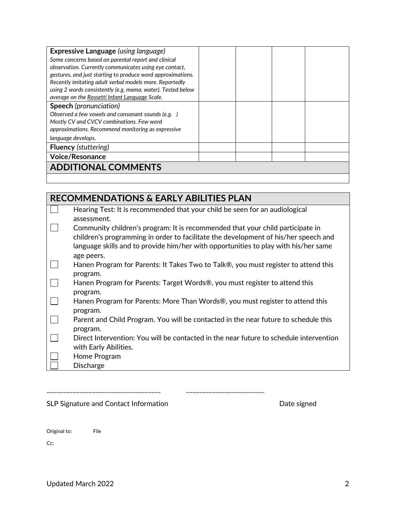| <b>Expressive Language</b> (using language)                 |  |  |  |
|-------------------------------------------------------------|--|--|--|
| Some concerns based on parental report and clinical         |  |  |  |
| observation. Currently communicates using eye contact,      |  |  |  |
| gestures, and just starting to produce word approximations. |  |  |  |
| Recently imitating adult verbal models more. Reportedly     |  |  |  |
| using 2 words consistently (e.g. mama, water). Tested below |  |  |  |
| average on the Rossetti Infant Language Scale.              |  |  |  |
| <b>Speech</b> (pronunciation)                               |  |  |  |
| Observed a few vowels and consonant sounds (e.g.)           |  |  |  |
| Mostly CV and CVCV combinations. Few word                   |  |  |  |
| approximations. Recommend monitoring as expressive          |  |  |  |
| language develops.                                          |  |  |  |
| <b>Fluency (stuttering)</b>                                 |  |  |  |
| <b>Voice/Resonance</b>                                      |  |  |  |
| <b>ADDITIONAL COMMENTS</b>                                  |  |  |  |
|                                                             |  |  |  |

| <b>RECOMMENDATIONS &amp; EARLY ABILITIES PLAN</b> |                                                                                        |  |
|---------------------------------------------------|----------------------------------------------------------------------------------------|--|
|                                                   | Hearing Test: It is recommended that your child be seen for an audiological            |  |
|                                                   | assessment.                                                                            |  |
|                                                   | Community children's program: It is recommended that your child participate in         |  |
|                                                   | children's programming in order to facilitate the development of his/her speech and    |  |
|                                                   | language skills and to provide him/her with opportunities to play with his/her same    |  |
|                                                   | age peers.                                                                             |  |
|                                                   | Hanen Program for Parents: It Takes Two to Talk®, you must register to attend this     |  |
|                                                   | program.                                                                               |  |
|                                                   | Hanen Program for Parents: Target Words®, you must register to attend this             |  |
|                                                   | program.                                                                               |  |
|                                                   | Hanen Program for Parents: More Than Words®, you must register to attend this          |  |
|                                                   | program.                                                                               |  |
|                                                   | Parent and Child Program. You will be contacted in the near future to schedule this    |  |
|                                                   | program.                                                                               |  |
|                                                   | Direct Intervention: You will be contacted in the near future to schedule intervention |  |
|                                                   | with Early Abilities.                                                                  |  |
|                                                   | Home Program                                                                           |  |
|                                                   | <b>Discharge</b>                                                                       |  |
|                                                   |                                                                                        |  |

SLP Signature and Contact Information and Date signed

\_\_\_\_\_\_\_\_\_\_\_\_\_\_\_\_\_\_\_\_\_\_\_\_\_\_\_\_\_\_\_\_\_\_\_ \_\_\_\_\_\_\_\_\_\_\_\_\_\_\_\_\_\_\_\_\_\_\_\_

Original to: File

Cc: